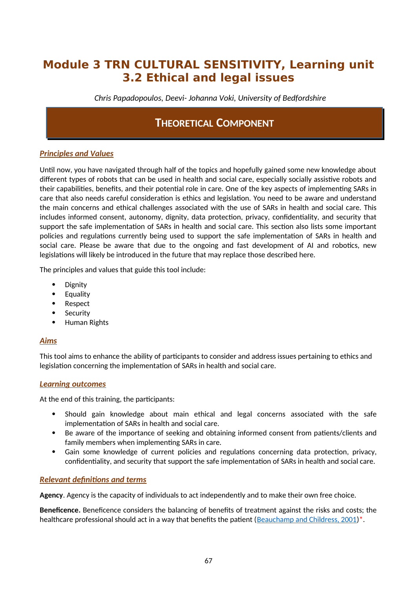# **Module 3 TRN CULTURAL SENSITIVITY, Learning unit 3.2 Ethical and legal issues**

*Chris Papadopoulos, Deevi- Johanna Voki, University of Bedfordshire*

## **THEORETICAL COMPONENT**

## *Principles and Values*

Until now, you have navigated through half of the topics and hopefully gained some new knowledge about different types of robots that can be used in health and social care, especially socially assistive robots and their capabilities, benefits, and their potential role in care. One of the key aspects of implementing SARs in care that also needs careful consideration is ethics and legislation. You need to be aware and understand the main concerns and ethical challenges associated with the use of SARs in health and social care. This includes informed consent, autonomy, dignity, data protection, privacy, confidentiality, and security that support the safe implementation of SARs in health and social care. This section also lists some important policies and regulations currently being used to support the safe implementation of SARs in health and social care. Please be aware that due to the ongoing and fast development of AI and robotics, new legislations will likely be introduced in the future that may replace those described here.

The principles and values that guide this tool include:

- Dignity
- Equality
- Respect
- Security
- Human Rights

#### *Aims*

This tool aims to enhance the ability of participants to consider and address issues pertaining to ethics and legislation concerning the implementation of SARs in health and social care.

### *Learning outcomes*

At the end of this training, the participants:

- Should gain knowledge about main ethical and legal concerns associated with the safe implementation of SARs in health and social care.
- Be aware of the importance of seeking and obtaining informed consent from patients/clients and family members when implementing SARs in care.
- Gain some knowledge of current policies and regulations concerning data protection, privacy, confidentiality, and security that support the safe implementation of SARs in health and social care.

### *Relevant definitions and terms*

**Agency**. Agency is the capacity of individuals to act independently and to make their own free choice.

**Beneficence.** Beneficence considers the balancing of benefits of treatment against the risks and costs; the healthcare professional should act in a way that benefits the patient ([Beauchamp and Childress, 2001](https://link.springer.com/article/10.1007/s00417-014-2676-5))\*.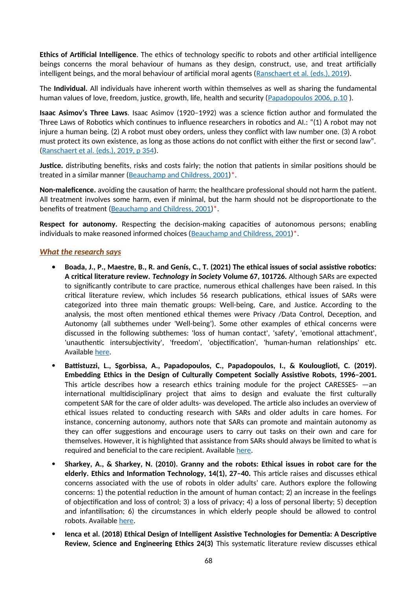**Ethics of Artificial Intelligence**. The ethics of technology specific to robots and other artificial intelligence beings concerns the moral behaviour of humans as they design, construct, use, and treat artificially intelligent beings, and the moral behaviour of artificial moral agents ([Ranschaert et al. \(eds.\), 2019\)](https://link.springer.com/content/pdf/bbm%3A978-3-319-94878-2%2F1.pdf).

The **Individual.** All individuals have inherent worth within themselves as well as sharing the fundamental human values of love, freedom, justice, growth, life, health and security ([Papadopoulos 2006, p.10](https://books.google.co.uk/books?id=sipVCwAAQBAJ&printsec=frontcover&hl=et#v=onepage&q=compass&f=false)).

**Isaac Asimov's Three Laws**. Isaac Asimov (1920–1992) was a science fiction author and formulated the Three Laws of Robotics which continues to influence researchers in robotics and AI.: "(1) A robot may not injure a human being. (2) A robot must obey orders, unless they conflict with law number one. (3) A robot must protect its own existence, as long as those actions do not conflict with either the first or second law". [\(Ranschaert et al. \(eds.\), 2019, p 354](https://link.springer.com/content/pdf/bbm%3A978-3-319-94878-2%2F1.pdf)).

**Justice.** distributing benefits, risks and costs fairly; the notion that patients in similar positions should be treated in a similar manner ([Beauchamp and Childress, 2001](https://link.springer.com/article/10.1007/s00417-014-2676-5))\*.

**Non-maleficence.** avoiding the causation of harm; the healthcare professional should not harm the patient. All treatment involves some harm, even if minimal, but the harm should not be disproportionate to the benefits of treatment ([Beauchamp and Childress, 2001](../../../../../../../../C:/Users/anton/AppData/Roaming/Microsoft/Word/Justice.%20distributing%20benefits,%20risks%20and%20costs%20fairly%3B%20the%20notion%20that%20patients%20in%20similar%20positions%20should%20be%20treated%20in%20a%20similar%20manner%20(Beauchamp%20and%20Childress,%202001)))\*.

**Respect for autonomy.** Respecting the decision-making capacities of autonomous persons; enabling individuals to make reasoned informed choices ([Beauchamp and Childress, 2001\)](https://link.springer.com/article/10.1007/s00417-014-2676-5)\*.

#### *What the research says*

- **Boada, J., P., Maestre, B., R. and Genís, C., T. (2021) The ethical issues of social assistive robotics: A critical literature review.** *Technology in Society* **Volume 67, 101726.** Although SARs are expected to significantly contribute to care practice, numerous ethical challenges have been raised. In this critical literature review, which includes 56 research publications, ethical issues of SARs were categorized into three main thematic groups: Well-being, Care, and Justice. According to the analysis, the most often mentioned ethical themes were Privacy /Data Control, Deception, and Autonomy (all subthemes under 'Well-being'). Some other examples of ethical concerns were discussed in the following subthemes: 'loss of human contact', 'safety', 'emotional attachment', 'unauthentic intersubjectivity', 'freedom', 'objectification', 'human-human relationships' etc. Available [here](https://www.researchgate.net/publication/354236321_The_ethical_issues_of_social_assistive_robotics_A_critical_literature_review).
- **Battistuzzi, L., Sgorbissa, A., Papadopoulos, C., Papadopoulos, I., & Koulouglioti, C. (2019). Embedding Ethics in the Design of Culturally Competent Socially Assistive Robots, 1996–2001.** This article describes how a research ethics training module for the project CARESSES- —an international multidisciplinary project that aims to design and evaluate the first culturally competent SAR for the care of older adults- was developed. The article also includes an overview of ethical issues related to conducting research with SARs and older adults in care homes. For instance, concerning autonomy, authors note that SARs can promote and maintain autonomy as they can offer suggestions and encourage users to carry out tasks on their own and care for themselves. However, it is highlighted that assistance from SARs should always be limited to what is required and beneficial to the care recipient. Available [here](https://www.researchgate.net/publication/330592161_Embedding_Ethics_in_the_Design_of_Culturally_Competent_Socially_Assistive_Robots).
- **Sharkey, A., & Sharkey, N. (2010). Granny and the robots: Ethical issues in robot care for the elderly. Ethics and Information Technology, 14(1), 27–40.** This article raises and discusses ethical concerns associated with the use of robots in older adults' care. Authors explore the following concerns: 1) the potential reduction in the amount of human contact; 2) an increase in the feelings of objectification and loss of control; 3) a loss of privacy; 4) a loss of personal liberty; 5) deception and infantilisation; 6) the circumstances in which elderly people should be allowed to control robots. Available [here.](https://www.researchgate.net/publication/226452328_Granny_and_the_robots_Ethical_issues_in_robot_care_for_the_elderly)
- **Ienca et al. (2018) Ethical Design of Intelligent Assistive Technologies for Dementia: A Descriptive Review, Science and Engineering Ethics 24(3)** This systematic literature review discusses ethical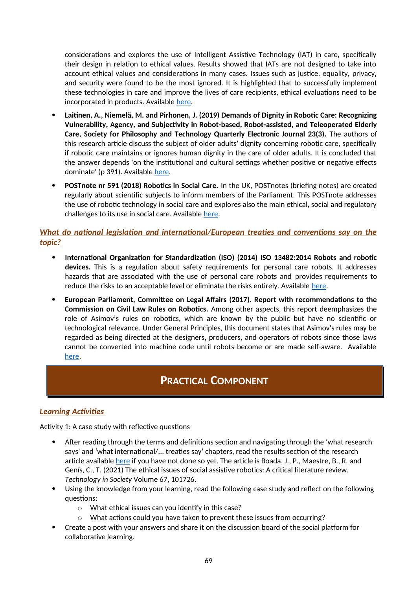considerations and explores the use of Intelligent Assistive Technology (IAT) in care, specifically their design in relation to ethical values. Results showed that IATs are not designed to take into account ethical values and considerations in many cases. Issues such as justice, equality, privacy, and security were found to be the most ignored. It is highlighted that to successfully implement these technologies in care and improve the lives of care recipients, ethical evaluations need to be incorporated in products. Available [here.](https://www.researchgate.net/publication/319989485_Ethical_Design_of_Intelligent_Assistive_Technologies_for_Dementia_A_Descriptive_Review)

- **Laitinen, A., Niemelä, M. and Pirhonen, J. (2019) Demands of Dignity in Robotic Care: Recognizing Vulnerability, Agency, and Subjectivity in Robot-based, Robot-assisted, and Teleoperated Elderly Care, Society for Philosophy and Technology Quarterly Electronic Journal 23(3).** The authors of this research article discuss the subject of older adults' dignity concerning robotic care, specifically if robotic care maintains or ignores human dignity in the care of older adults. It is concluded that the answer depends 'on the institutional and cultural settings whether positive or negative effects dominate' (p 391). Available [here](https://www.researchgate.net/publication/337712795_Demands_of_Dignity_in_Robotic_Care_in_advance_Recognizing_Vulnerability_Agency_and_Subjectivity_in_Robot-based_Robot-assisted_and_Teleoperated_Elderly_Care).
- **POSTnote nr 591 (2018) Robotics in Social Care.** In the UK, POSTnotes (briefing notes) are created regularly about scientific subjects to inform members of the Parliament. This POSTnote addresses the use of robotic technology in social care and explores also the main ethical, social and regulatory challenges to its use in social care. Available [here](https://post.parliament.uk/research-briefings/post-pn-0591/).

## *What do national legislation and international/European treaties and conventions say on the topic?*

- **International Organization for Standardization (ISO) (2014) ISO 13482:2014 Robots and robotic devices.** This is a regulation about safety requirements for personal care robots. It addresses hazards that are associated with the use of personal care robots and provides requirements to reduce the risks to an acceptable level or eliminate the risks entirely. Available [here.](https://www.iso.org/obp/ui/#iso:std:iso:13482:ed-1:v1:en)
- **European Parliament, Committee on Legal Affairs (2017). Report with recommendations to the Commission on Civil Law Rules on Robotics.** Among other aspects, this report deemphasizes the role of Asimov's rules on robotics, which are known by the public but have no scientific or technological relevance. Under General Principles, this document states that Asimov's rules may be regarded as being directed at the designers, producers, and operators of robots since those laws cannot be converted into machine code until robots become or are made self-aware. Available [here](https://www.europarl.europa.eu/doceo/document/A-8-2017-0005_EN.html).

## **PRACTICAL COMPONENT**

## *Learning Activities*

Activity 1: A case study with reflective questions

- After reading through the terms and definitions section and navigating through the 'what research says' and 'what international/... treaties say' chapters, read the results section of the research article available [here](https://www.researchgate.net/publication/354236321_The_ethical_issues_of_social_assistive_robotics_A_critical_literature_review) if you have not done so yet. The article is Boada, J., P., Maestre, B., R. and Genís, C., T. (2021) The ethical issues of social assistive robotics: A critical literature review. *Technology in Society* Volume 67, 101726.
- Using the knowledge from your learning, read the following case study and reflect on the following questions:
	- o What ethical issues can you identify in this case?
	- o What actions could you have taken to prevent these issues from occurring?
- Create a post with your answers and share it on the discussion board of the social platform for collaborative learning.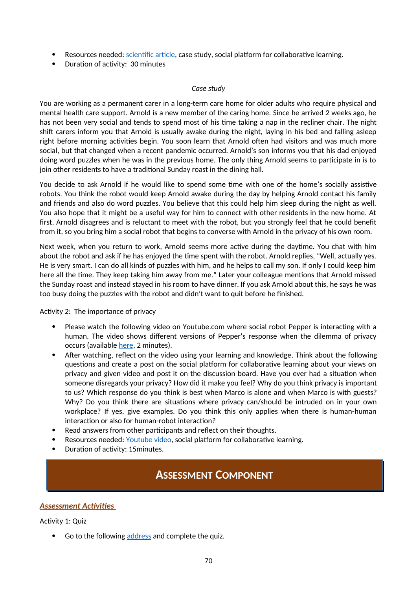- Resources needed: [scientific article,](https://www.researchgate.net/publication/354236321_The_ethical_issues_of_social_assistive_robotics_A_critical_literature_review) case study, social platform for collaborative learning.
- Duration of activity: 30 minutes

#### *Case study*

You are working as a permanent carer in a long-term care home for older adults who require physical and mental health care support. Arnold is a new member of the caring home. Since he arrived 2 weeks ago, he has not been very social and tends to spend most of his time taking a nap in the recliner chair. The night shift carers inform you that Arnold is usually awake during the night, laying in his bed and falling asleep right before morning activities begin. You soon learn that Arnold often had visitors and was much more social, but that changed when a recent pandemic occurred. Arnold's son informs you that his dad enjoyed doing word puzzles when he was in the previous home. The only thing Arnold seems to participate in is to join other residents to have a traditional Sunday roast in the dining hall.

You decide to ask Arnold if he would like to spend some time with one of the home's socially assistive robots. You think the robot would keep Arnold awake during the day by helping Arnold contact his family and friends and also do word puzzles. You believe that this could help him sleep during the night as well. You also hope that it might be a useful way for him to connect with other residents in the new home. At first, Arnold disagrees and is reluctant to meet with the robot, but you strongly feel that he could benefit from it, so you bring him a social robot that begins to converse with Arnold in the privacy of his own room.

Next week, when you return to work, Arnold seems more active during the daytime. You chat with him about the robot and ask if he has enjoyed the time spent with the robot. Arnold replies, "Well, actually yes. He is very smart. I can do all kinds of puzzles with him, and he helps to call my son. If only I could keep him here all the time. They keep taking him away from me." Later your colleague mentions that Arnold missed the Sunday roast and instead stayed in his room to have dinner. If you ask Arnold about this, he says he was too busy doing the puzzles with the robot and didn't want to quit before he finished.

Activity 2: The importance of privacy

- Please watch the following video on Youtube.com where social robot Pepper is interacting with a human. The video shows different versions of Pepper's response when the dilemma of privacy occurs (available [here](https://www.youtube.com/watch?v=Udwf-9iwmvY&ab_channel=AmitKumarPandey), 2 minutes).
- After watching, reflect on the video using your learning and knowledge. Think about the following questions and create a post on the social platform for collaborative learning about your views on privacy and given video and post it on the discussion board. Have you ever had a situation when someone disregards your privacy? How did it make you feel? Why do you think privacy is important to us? Which response do you think is best when Marco is alone and when Marco is with guests? Why? Do you think there are situations where privacy can/should be intruded on in your own workplace? If yes, give examples. Do you think this only applies when there is human-human interaction or also for human-robot interaction?
- Read answers from other participants and reflect on their thoughts.
- Resources needed: [Youtube video,](https://www.youtube.com/watch?v=Udwf-9iwmvY&ab_channel=AmitKumarPandey) social platform for collaborative learning.
- Duration of activity: 15minutes.

## **ASSESSMENT COMPONENT**

#### *Assessment Activities*

#### Activity 1: Quiz

Go to the following [address](https://www.goconqr.com/en-US/quiz/36798013/iene-10-learning-unit-3-2-assessment) and complete the quiz.